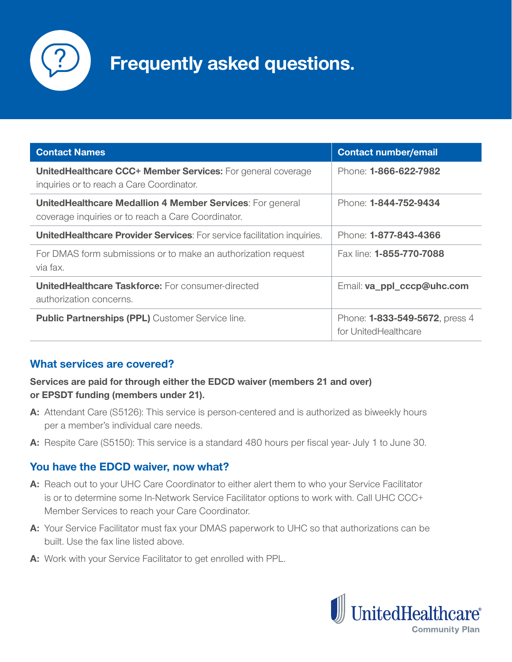

# **Frequently asked questions.**

| <b>Contact Names</b>                                                                                                   | <b>Contact number/email</b>                                    |
|------------------------------------------------------------------------------------------------------------------------|----------------------------------------------------------------|
| UnitedHealthcare CCC+ Member Services: For general coverage<br>inquiries or to reach a Care Coordinator.               | Phone: 1-866-622-7982                                          |
| <b>UnitedHealthcare Medallion 4 Member Services: For general</b><br>coverage inquiries or to reach a Care Coordinator. | Phone: 1-844-752-9434                                          |
| <b>UnitedHealthcare Provider Services:</b> For service facilitation inquiries.                                         | Phone: 1-877-843-4366                                          |
| For DMAS form submissions or to make an authorization request<br>via fax.                                              | Fax line: <b>1-855-770-7088</b>                                |
| <b>UnitedHealthcare Taskforce:</b> For consumer-directed<br>authorization concerns.                                    | Email: va_ppl_cccp@uhc.com                                     |
| <b>Public Partnerships (PPL)</b> Customer Service line.                                                                | Phone: <b>1-833-549-5672</b> , press 4<br>for UnitedHealthcare |

## **What services are covered?**

#### **Services are paid for through either the EDCD waiver (members 21 and over) or EPSDT funding (members under 21).**

- **A:** Attendant Care (S5126): This service is person-centered and is authorized as biweekly hours per a member's individual care needs.
- **A:** Respite Care (S5150): This service is a standard 480 hours per fiscal year- July 1 to June 30.

## **You have the EDCD waiver, now what?**

- **A:** Reach out to your UHC Care Coordinator to either alert them to who your Service Facilitator is or to determine some In-Network Service Facilitator options to work with. Call UHC CCC+ Member Services to reach your Care Coordinator.
- **A:** Your Service Facilitator must fax your DMAS paperwork to UHC so that authorizations can be built. Use the fax line listed above.
- **A:** Work with your Service Facilitator to get enrolled with PPL.